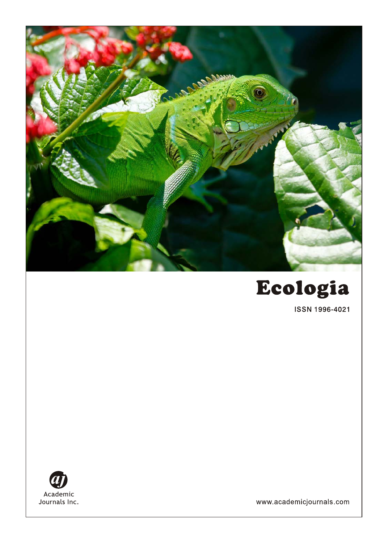



ISSN 1996-4021



www.academicjournals.com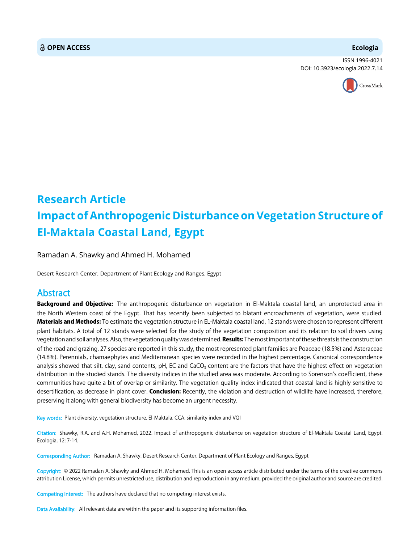### **OPEN ACCESS Ecologia**

ISSN 1996-4021 DOI: 10.3923/ecologia.2022.7.14



# **Research Article Impact of Anthropogenic Disturbance on Vegetation Structure of El-Maktala Coastal Land, Egypt**

Ramadan A. Shawky and Ahmed H. Mohamed

Desert Research Center, Department of Plant Ecology and Ranges, Egypt

## Abstract

Background and Objective: The anthropogenic disturbance on vegetation in El-Maktala coastal land, an unprotected area in the North Western coast of the Egypt. That has recently been subjected to blatant encroachments of vegetation, were studied. Materials and Methods: To estimate the vegetation structure in EL-Maktala coastal land, 12 stands were chosen to represent different plant habitats. A total of 12 stands were selected for the study of the vegetation composition and its relation to soil drivers using vegetation and soil analyses. Also, the vegetation quality was determined. Results: The most important of these threats is the construction of the road and grazing, 27 species are reported in this study, the most represented plant families are Poaceae (18.5%) and Asteraceae (14.8%). Perennials, chamaephytes and Mediterranean species were recorded in the highest percentage. Canonical correspondence analysis showed that silt, clay, sand contents,  $pH$ , EC and CaCO<sub>3</sub> content are the factors that have the highest effect on vegetation distribution in the studied stands. The diversity indices in the studied area was moderate. According to Sorenson's coefficient, these communities have quite a bit of overlap or similarity. The vegetation quality index indicated that coastal land is highly sensitive to desertification, as decrease in plant cover. Conclusion: Recently, the violation and destruction of wildlife have increased, therefore, preserving it along with general biodiversity has become an urgent necessity.

Key words: Plant diversity, vegetation structure, El-Maktala, CCA, similarity index and VQI

Citation: Shawky, R.A. and A.H. Mohamed, 2022. Impact of anthropogenic disturbance on vegetation structure of El-Maktala Coastal Land, Egypt. Ecologia, 12: 7-14.

Corresponding Author: Ramadan A. Shawky, Desert Research Center, Department of Plant Ecology and Ranges, Egypt

Copyright: © 2022 Ramadan A. Shawky and Ahmed H. Mohamed. This is an open access article distributed under the terms of the creative commons attribution License, which permits unrestricted use, distribution and reproduction in any medium, provided the original author and source are credited.

Competing Interest: The authors have declared that no competing interest exists.

Data Availability: All relevant data are within the paper and its supporting information files.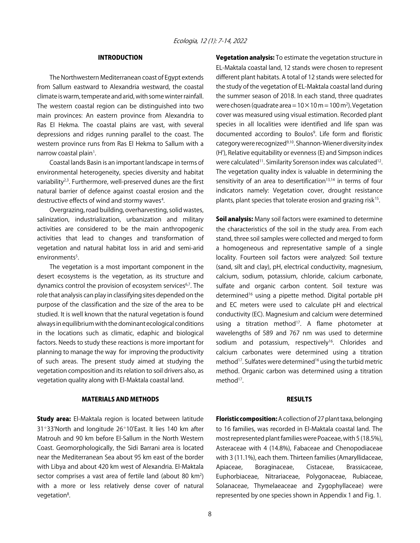#### INTRODUCTION

The Northwestern Mediterranean coast of Egypt extends from Sallum eastward to Alexandria westward, the coastal climate is warm, temperate and arid, with some winter rainfall. The western coastal region can be distinguished into two main provinces: An eastern province from Alexandria to Ras El Hekma. The coastal plains are vast, with several depressions and ridges running parallel to the coast. The western province runs from Ras El Hekma to Sallum with a narrow coastal plain<sup>1</sup>.

Coastal lands Basin is an important landscape in terms of environmental heterogeneity, species diversity and habitat variability<sup>2,3</sup>. Furthermore, well-preserved dunes are the first natural barrier of defence against coastal erosion and the destructive effects of wind and stormy waves<sup>4</sup>.

Overgrazing, road building, overharvesting, solid wastes, salinization, industrialization, urbanization and military activities are considered to be the main anthropogenic activities that lead to changes and transformation of vegetation and natural habitat loss in arid and semi-arid environments<sup>5</sup>.

The vegetation is a most important component in the desert ecosystems is the vegetation, as its structure and dynamics control the provision of ecosystem services<sup>6,7</sup>. The role that analysis can play in classifying sites depended on the purpose of the classification and the size of the area to be studied. It is well known that the natural vegetation is found always in equilibrium with the dominant ecological conditions in the locations such as climatic, edaphic and biological factors. Needs to study these reactions is more important for planning to manage the way for improving the productivity of such areas. The present study aimed at studying the vegetation composition and its relation to soil drivers also, as vegetation quality along with El-Maktala coastal land.

#### MATERIALS AND METHODS

**Study area:** El-Maktala region is located between latitude 31°33'North and longitude 26°10'East. It lies 140 km after Matrouh and 90 km before El-Sallum in the North Western Coast. Geomorphologically, the Sidi Barrani area is located near the Mediterranean Sea about 95 km east of the border with Libya and about 420 km west of Alexandria. El-Maktala sector comprises a vast area of fertile land (about 80  $km^2$ ) with a more or less relatively dense cover of natural vegetation<sup>8</sup>.

Vegetation analysis: To estimate the vegetation structure in EL-Maktala coastal land, 12 stands were chosen to represent different plant habitats. A total of 12 stands were selected for the study of the vegetation of EL-Maktala coastal land during the summer season of 2018. In each stand, three quadrates were chosen (quadrate area =  $10 \times 10$  m =  $100$  m<sup>2</sup>). Vegetation cover was measured using visual estimation. Recorded plant species in all localities were identified and life span was documented according to Boulos<sup>9</sup>. Life form and floristic category were recognized9,10. Shannon-Wiener diversity index (H'), Relative equitability or evenness (E) and Simpson indices were calculated<sup>11</sup>. Similarity Sorenson index was calculated<sup>12</sup>. The vegetation quality index is valuable in determining the sensitivity of an area to desertification $13,14$  in terms of four indicators namely: Vegetation cover, drought resistance plants, plant species that tolerate erosion and grazing risk<sup>15</sup>.

Soil analysis: Many soil factors were examined to determine the characteristics of the soil in the study area. From each stand, three soil samples were collected and merged to form a homogeneous and representative sample of a single locality. Fourteen soil factors were analyzed: Soil texture (sand, silt and clay), pH, electrical conductivity, magnesium, calcium, sodium, potassium, chloride, calcium carbonate, sulfate and organic carbon content. Soil texture was determined<sup>16</sup> using a pipette method. Digital portable pH and EC meters were used to calculate pH and electrical conductivity (EC). Magnesium and calcium were determined using a titration method $17$ . A flame photometer at wavelengths of 589 and 767 nm was used to determine sodium and potassium, respectively<sup>16</sup>. Chlorides and calcium carbonates were determined using a titration method<sup>17</sup>. Sulfates were determined<sup>16</sup> using the turbid metric method. Organic carbon was determined using a titration method<sup>17</sup>.

#### RESULTS

Floristic composition: A collection of 27 plant taxa, belonging to 16 families, was recorded in El-Maktala coastal land. The most represented plant families were Poaceae, with 5 (18.5%), Asteraceae with 4 (14.8%), Fabaceae and Chenopodiaceae with 3 (11.1%), each them. Thirteen families (Amaryllidaceae, Apiaceae, Boraginaceae, Cistaceae, Brassicaceae, Euphorbiaceae, Nitrariaceae, Polygonaceae, Rubiaceae, Solanaceae, Thymelaeaceae and Zygophyllaceae) were represented by one species shown in Appendix 1 and Fig. 1.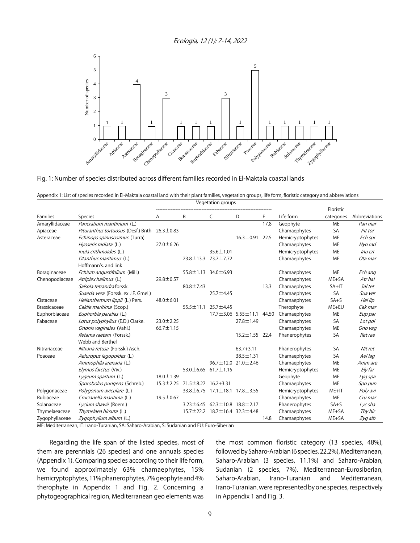Ecologia, 12 (1): 7-14, 2022



Fig. 1: Number of species distributed across different families recorded in El-Maktala coastal lands

Appendix 1: List of species recorded in El-Maktala coastal land with their plant families, vegetation groups, life form, floristic category and abbreviations

|                |                                             | Vegetation groups |                 |                                 |                                 |       |                  |            |               |
|----------------|---------------------------------------------|-------------------|-----------------|---------------------------------|---------------------------------|-------|------------------|------------|---------------|
|                |                                             |                   |                 |                                 |                                 |       |                  | Floristic  |               |
| Families       | Species                                     | Α                 | B               | C                               | D                               | E     | Life form        | categories | Abbreviations |
| Amaryllidaceae | Pancratium maritimum (L.)                   |                   |                 |                                 |                                 | 17.8  | Geophyte         | <b>ME</b>  | Pan mar       |
| Apiaceae       | Pituranthus tortuosus (Desf.) Bnth          | $26.3 \pm 0.83$   |                 |                                 |                                 |       | Chamaephytes     | <b>SA</b>  | Pit tor       |
| Asteraceae     | Echinops spinosissimus (Turra)              |                   |                 |                                 | $16.3 \pm 0.91$                 | 22.5  | Hemicryptophytes | <b>ME</b>  | Ech spi       |
|                | Hyoseris radiata (L.)                       | 27.0±6.26         |                 |                                 |                                 |       | Chamaephytes     | <b>ME</b>  | Hyo rad       |
|                | Inula crithmoides (L.)                      |                   |                 | $35.6 \pm 1.01$                 |                                 |       | Hemicryptophytes | <b>ME</b>  | Inu cri       |
|                | Otanthus maritimus (L.)                     |                   |                 | 23.8±13.3 73.7±7.72             |                                 |       | Chamaephytes     | <b>ME</b>  | Ota mar       |
|                | Hoffmann's, and link                        |                   |                 |                                 |                                 |       |                  |            |               |
| Boraginaceae   | Echium angustifolium (Mill.)                |                   |                 | 55.8±1.13 34.0±6.93             |                                 |       | Chamaephytes     | <b>ME</b>  | Ech ang       |
| Chenopodiaceae | Atriplex halimus (L.)                       | 29.8 ± 0.57       |                 |                                 |                                 |       | Chamaephytes     | $ME+SA$    | Atr hal       |
|                | Salsola tetrandra forssk.                   |                   | $80.8 \pm 7.43$ |                                 |                                 | 13.3  | Chamaephytes     | $SA+IT$    | Sal tet       |
|                | Suaeda vera (Forssk. ex J.F. Gmel.)         |                   |                 | 25.7±4.45                       |                                 |       | Chamaephytes     | <b>SA</b>  | Sua ver       |
| Cistaceae      | Helianthemum lippii (L.) Pers.              | $48.0 \pm 6.01$   |                 |                                 |                                 |       | Chamaephytes     | $SA + S$   | Hel lip       |
| Brassicaceae   | Cakile maritima (Scop.)                     |                   | $55.5 \pm 11.1$ | 25.7±4.45                       |                                 |       | Therophyte       | ME+EU      | Cak mar       |
| Euphorbiaceae  | Euphorbia paralias (L.)                     |                   |                 |                                 | $17.7 \pm 3.06$ 5.55 $\pm$ 11.1 | 44.50 | Chamaephytes     | <b>ME</b>  | Eup par       |
| Fabaceae       | Lotus polyphyllus (E.D.) Clarke.            | $23.0 \pm 2.25$   |                 |                                 | $27.8 \pm 1.49$                 |       | Chamaephytes     | <b>SA</b>  | Lot pol       |
|                | Ononis vaginales (Vahl.)                    | $66.7 \pm 1.15$   |                 |                                 |                                 |       | Chamaephytes     | <b>ME</b>  | Ono vag       |
|                | Retama raetam (Forssk.)<br>Webb and Berthel |                   |                 |                                 | $15.2 \pm 1.55$ 22.4            |       | Phanerophytes    | SA         | Ret rae       |
| Nitrariaceae   | Nitraria retusa (Forssk.) Asch.             |                   |                 |                                 | $63.7 + 3.11$                   |       | Phanerophytes    | <b>SA</b>  | Nit ret       |
| Poaceae        | Aeluropus lagopoides (L.)                   |                   |                 |                                 | 38.5±1.31                       |       | Chamaephytes     | <b>SA</b>  | Ael lag       |
|                | Ammophila arenaria (L.)                     |                   |                 |                                 | 96.7±12.0 21.0±2.46             |       | Chamaephytes     | ME         | Amm are       |
|                | Elymus farctus (Viv.)                       |                   |                 | $53.0 \pm 6.65$ 61.7 $\pm$ 1.15 |                                 |       | Hemicryptophytes | <b>ME</b>  | Ely far       |
|                | Lygeum spartum (L.)                         | $18.0 \pm 1.39$   |                 |                                 |                                 |       | Geophyte         | <b>ME</b>  | Lyg spa       |
|                | Sporobolus pungens (Schreb.)                | $15.3 \pm 2.25$   | $71.5 \pm 8.27$ | $16.2 + 3.31$                   |                                 |       | Chamaephytes     | ME         | Spo pun       |
| Polygonaceae   | Polygonum aviculare (L.)                    |                   |                 | 33.8±6.75 17.1±18.1 17.8±3.55   |                                 |       | Hemicryptophytes | $ME+IT$    | Poly avi      |
| Rubiaceae      | Crucianella maritima (L.)                   | $19.5 \pm 0.67$   |                 |                                 |                                 |       | Chamaephytes     | <b>ME</b>  | Cru mar       |
| Solanaceae     | Lycium shawii (Roem.)                       |                   | $3.23 \pm 6.45$ | $62.3 \pm 10.8$ 18.8 $\pm$ 2.17 |                                 |       | Phanerophytes    | $SA + S$   | Lyc sha       |
| Thymelaeaceae  | Thymelaea hirsuta (L.)                      |                   | $15.7 \pm 22.2$ | 18.7±16.4 32.3±4.48             |                                 |       | Chamaephytes     | ME+SA      | Thy hir       |
| Zygophyllaceae | Zygophyllum album (L.)                      |                   |                 |                                 |                                 | 14.8  | Chamaephytes     | ME+SA      | Zyg alb       |

ME: Mediterranean, IT: Irano-Turanian, SA: Saharo-Arabian, S: Sudanian and EU: Euro-Siberian

Regarding the life span of the listed species, most of them are perennials (26 species) and one annuals species (Appendix 1). Comparing species according to their life form, we found approximately 63% chamaephytes, 15% hemicryptophytes, 11% phanerophytes, 7% geophyte and 4% therophyte in Appendix 1 and Fig. 2. Concerning a phytogeographical region, Mediterranean geo elements was

the most common floristic category (13 species, 48%), followed by Saharo-Arabian (6 species, 22.2%), Mediterranean, Saharo-Arabian (3 species, 11.1%) and Saharo-Arabian, Sudanian (2 species, 7%). Mediterranean-Eurosiberian, Saharo-Arabian, Irano-Turanian and Mediterranean, Irano-Turanian. were represented by one species, respectively in Appendix 1 and Fig. 3.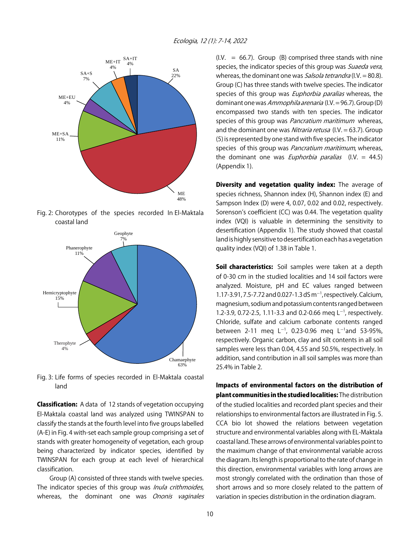

Fig. 2: Chorotypes of the species recorded In El-Maktala coastal land



Fig. 3: Life forms of species recorded in El-Maktala coastal land

Classification: A data of 12 stands of vegetation occupying El-Maktala coastal land was analyzed using TWINSPAN to classify the stands at the fourth level into five groups labelled (A-E) in Fig. 4 with-set each sample group comprising a set of stands with greater homogeneity of vegetation, each group being characterized by indicator species, identified by TWINSPAN for each group at each level of hierarchical classification.

Group (A) consisted of three stands with twelve species. The indicator species of this group was *Inula crithmoides*, whereas, the dominant one was Ononis vaginales  $(I.V. = 66.7)$ . Group (B) comprised three stands with nine species, the indicator species of this group was Suaeda vera, whereas, the dominant one was Salsola tetrandra (I.V. = 80.8). Group (C) has three stands with twelve species. The indicator species of this group was *Euphorbia paralias* whereas, the dominant one was Ammophila arenaria (I.V. = 96.7). Group (D) encompassed two stands with ten species. The indicator species of this group was Pancratium maritimum whereas, and the dominant one was Nitraria retusa (I.V. = 63.7). Group (5) is represented by one stand with five species. The indicator species of this group was *Pancratium maritimum*, whereas, the dominant one was *Euphorbia paralias*  $(I.V. = 44.5)$ (Appendix 1).

Diversity and vegetation quality index: The average of species richness, Shannon index (H), Shannon index (E) and Sampson Index (D) were 4, 0.07, 0.02 and 0.02, respectively. Sorenson's coefficient (CC) was 0.44. The vegetation quality index (VQI) is valuable in determining the sensitivity to desertification (Appendix 1). The study showed that coastal land is highly sensitive to desertification each has a vegetation quality index (VQI) of 1.38 in Table 1.

Soil characteristics: Soil samples were taken at a depth of 0-30 cm in the studied localities and 14 soil factors were analyzed. Moisture, pH and EC values ranged between 1.17-3.91, 7.5-7.72 and 0.027-1.3 dS m<sup>-1</sup>, respectively. Calcium, magnesium, sodium and potassium contents ranged between 1.2-3.9, 0.72-2.5, 1.11-3.3 and 0.2-0.66 meq  $L^{-1}$ , respectively. Chloride, sulfate and calcium carbonate contents ranged between 2-11 meq  $L^{-1}$ , 0.23-0.96 meq  $L^{-1}$ and 53-95%, respectively. Organic carbon, clay and silt contents in all soil samples were less than 0.04, 4.55 and 50.5%, respectively. In addition, sand contribution in all soil samples was more than 25.4% in Table 2.

Impacts of environmental factors on the distribution of plant communities in the studied localities: The distribution of the studied localities and recorded plant species and their relationships to environmental factors are illustrated in Fig. 5. CCA bio lot showed the relations between vegetation structure and environmental variables along with EL-Maktala coastal land. These arrows of environmental variables point to the maximum change of that environmental variable across the diagram. Its length is proportional to the rate of change in this direction, environmental variables with long arrows are most strongly correlated with the ordination than those of short arrows and so more closely related to the pattern of variation in species distribution in the ordination diagram.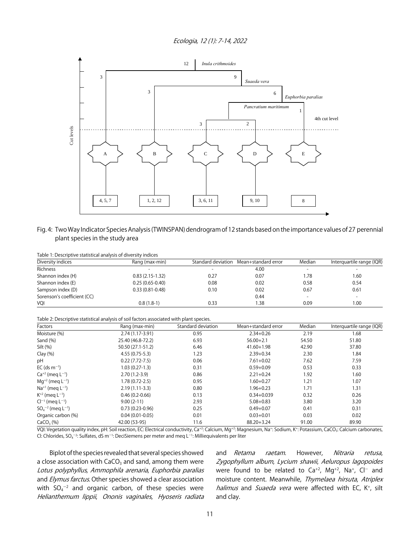Ecologia, 12 (1): 7-14, 2022



Fig. 4: Two Way Indicator Species Analysis (TWINSPAN) dendrogram of 12 stands based on the importance values of 27 perennial plant species in the study area

| Table 1. Descriptive statistical arialysis of diversity indices |                     |      |                                        |                          |                           |  |
|-----------------------------------------------------------------|---------------------|------|----------------------------------------|--------------------------|---------------------------|--|
| Diversity indices                                               | Rang (max-min)      |      | Standard deviation Mean+standard error | Median                   | Interguartile range (IQR) |  |
| Richness                                                        |                     |      | 4.00                                   | $\overline{\phantom{0}}$ |                           |  |
| Shannon index (H)                                               | $0.83(2.15-1.32)$   | 0.27 | 0.07                                   | 1.78                     | 1.60                      |  |
| Shannon index (E)                                               | $0.25(0.65-0.40)$   | 0.08 | 0.02                                   | 0.58                     | 0.54                      |  |
| Sampson index (D)                                               | $0.33(0.81 - 0.48)$ | 0.10 | 0.02                                   | 0.67                     | 0.61                      |  |
| Sorenson's coefficient (CC)                                     |                     |      | 0.44                                   | $\overline{\phantom{0}}$ |                           |  |
| VQI                                                             | $0.8(1.8-1)$        | 0.33 | .38                                    | 0.09                     | 1.00                      |  |

Table 1: Descriptive statistical analysis of diversity indices

Table 2: Descriptive statistical analysis of soil factors associated with plant species.

| Factors                            | Rang (max-min)     | Standard deviation | Mean+standard error | Median | Interquartile range (IQR) |  |
|------------------------------------|--------------------|--------------------|---------------------|--------|---------------------------|--|
| Moisture (%)                       | 2.74 (1.17-3.91)   | 0.95               | $2.34 + 0.26$       | 2.19   | 1.68                      |  |
| Sand $(\% )$                       | 25.40 (46.8-72.2)  | 6.93               | $56.00 + 2.1$       | 54.50  | 51.80                     |  |
| Silt $(\%)$                        | 50.50 (27.1-51.2)  | 6.46               | $41.60 + 1.98$      | 42.90  | 37.80                     |  |
| Clay $(\%)$                        | $4.55(0.75-5.3)$   | 1.23               | $2.39 + 0.34$       | 2.30   | 1.84                      |  |
| рH                                 | $0.22(7.72 - 7.5)$ | 0.06               | $7.61 + 0.02$       | 7.62   | 7.59                      |  |
| $EC$ (ds m <sup>-1</sup> )         | $1.03(0.27-1.3)$   | 0.31               | $0.59 + 0.09$       | 0.53   | 0.33                      |  |
| $Ca^{+2}$ (meg $L^{-1}$ )          | $2.70(1.2-3.9)$    | 0.86               | $2.21 + 0.24$       | 1.92   | 1.60                      |  |
| $Mq^{+2}$ (meg $L^{-1}$ )          | $1.78(0.72 - 2.5)$ | 0.95               | $1.60 + 0.27$       | 1.21   | 1.07                      |  |
| $Na^{+1}$ (meg $L^{-1}$ )          | $2.19(1.11-3.3)$   | 0.80               | $1.96 + 0.23$       | 1.71   | 1.31                      |  |
| $K^{+2}$ (meg $L^{-1}$ )           | $0.46(0.2 - 0.66)$ | 0.13               | $0.34 + 0.039$      | 0.32   | 0.26                      |  |
| $Cl^{-1}$ (meg $L^{-1}$ )          | $9.00(2-11)$       | 2.93               | $5.08 + 0.83$       | 3.80   | 3.20                      |  |
| $SO_4^{-2}$ (meg L <sup>-1</sup> ) | $0.73(0.23-0.96)$  | 0.25               | $0.49 + 0.07$       | 0.41   | 0.31                      |  |
| Organic carbon (%)                 | $0.04(0.01-0.05)$  | 0.01               | $0.03 + 0.01$       | 0.03   | 0.02                      |  |
| CaCO <sub>3</sub> (%)              | 42.00 (53-95)      | 11.6               | $88.20 + 3.24$      | 91.00  | 89.90                     |  |

VQI: Vegetation quality index, pH: Soil reaction, EC: Electrical conductivity, Ca<sup>+2</sup>: Calcium, Mg<sup>+2</sup>: Magnesium, Na<sup>+</sup>: Sodium, K<sup>+</sup>: Potassium, CaCO<sub>3</sub>: Calcium carbonates, CI: Chlorides, SO $_4$ <sup>-2</sup>: Sulfates, dS m $^{-1}$ : DeciSiemens per meter and meq L $^{-1}$ : Milliequivalents per liter

Biplot of the species revealed that several species showed a close association with  $CaCO<sub>3</sub>$  and sand, among them were Lotus polyphyllus, Ammophila arenaria, Euphorbia paralias and *Elymus farctus*. Other species showed a clear association with  $SO_4^{-2}$  and organic carbon, of these species were Helianthemum lippii, Ononis vaginales, Hyoseris radiata

and *Retama raetam*. However, Nitraria retusa, Zygophyllum album, Lycium shawii, Aeluropus lagopoides were found to be related to  $Ca^{+2}$ ,  $Mg^{+2}$ , Na<sup>+</sup>, Cl<sup>-</sup> and moisture content. Meanwhile, Thymelaea hirsuta, Atriplex halimus and Suaeda vera were affected with EC,  $K^+$ , silt and clay.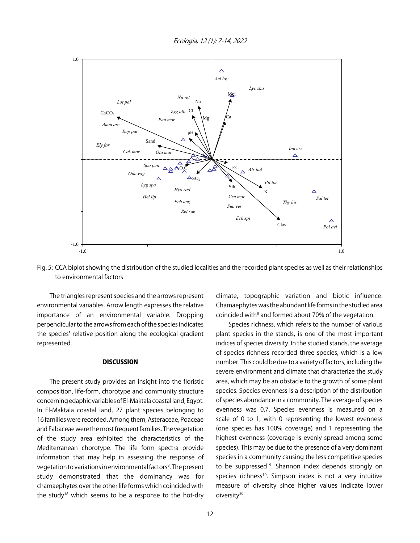Ecologia, 12 (1): 7-14, 2022



Fig. 5: CCA biplot showing the distribution of the studied localities and the recorded plant species as well as their relationships to environmental factors

The triangles represent species and the arrows represent environmental variables. Arrow length expresses the relative importance of an environmental variable. Dropping perpendicular to the arrows from each of the species indicates the species' relative position along the ecological gradient represented.

#### **DISCUSSION**

The present study provides an insight into the floristic composition, life-form, chorotype and community structure concerning edaphic variables of El-Maktala coastal land, Egypt. In El-Maktala coastal land, 27 plant species belonging to 16 families were recorded. Among them, Asteraceae, Poaceae and Fabaceae were the most frequent families. The vegetation of the study area exhibited the characteristics of the Mediterranean chorotype. The life form spectra provide information that may help in assessing the response of vegetation to variations in environmental factors<sup>8</sup>. The present study demonstrated that the dominancy was for chamaephytes over the other life forms which coincided with the study<sup>18</sup> which seems to be a response to the hot-dry

climate, topographic variation and biotic influence. Chamaephytes was the abundant life forms in the studied area coincided with<sup>8</sup> and formed about 70% of the vegetation.

Species richness, which refers to the number of various plant species in the stands, is one of the most important indices of species diversity. In the studied stands, the average of species richness recorded three species, which is a low number. This could be due to a variety of factors, including the severe environment and climate that characterize the study area, which may be an obstacle to the growth of some plant species. Species evenness is a description of the distribution of species abundance in a community. The average of species evenness was 0.7. Species evenness is measured on a scale of 0 to 1, with 0 representing the lowest evenness (one species has 100% coverage) and 1 representing the highest evenness (coverage is evenly spread among some species). This may be due to the presence of a very dominant species in a community causing the less competitive species to be suppressed<sup>19</sup>. Shannon index depends strongly on species richness<sup>10</sup>. Simpson index is not a very intuitive measure of diversity since higher values indicate lower diversity<sup>20</sup>.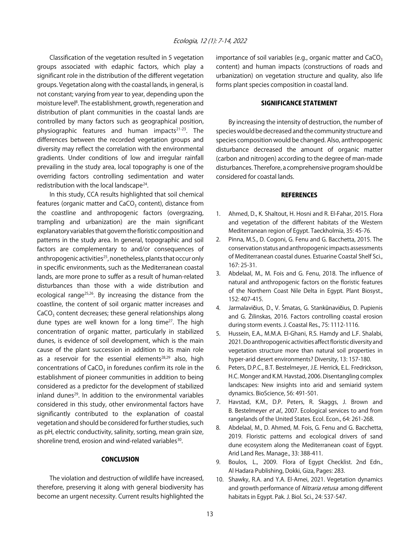Classification of the vegetation resulted in 5 vegetation groups associated with edaphic factors, which play a significant role in the distribution of the different vegetation groups. Vegetation along with the coastal lands, in general, is not constant; varying from year to year, depending upon the moisture level<sup>8</sup>. The establishment, growth, regeneration and distribution of plant communities in the coastal lands are controlled by many factors such as geographical position, physiographic features and human impacts $21-23$ . The differences between the recorded vegetation groups and diversity may reflect the correlation with the environmental gradients. Under conditions of low and irregular rainfall prevailing in the study area, local topography is one of the overriding factors controlling sedimentation and water redistribution with the local landscape $24$ .

In this study, CCA results highlighted that soil chemical features (organic matter and  $CaCO<sub>3</sub>$  content), distance from the coastline and anthropogenic factors (overgrazing, trampling and urbanization) are the main significant explanatory variables that govern the floristic composition and patterns in the study area. In general, topographic and soil factors are complementary to and/or consequences of anthropogenic activities<sup>25</sup>, nonetheless, plants that occur only in specific environments, such as the Mediterranean coastal lands, are more prone to suffer as a result of human-related disturbances than those with a wide distribution and ecological range $25,26$ . By increasing the distance from the coastline, the content of soil organic matter increases and  $CaCO<sub>3</sub>$  content decreases; these general relationships along dune types are well known for a long time $27$ . The high concentration of organic matter, particularly in stabilized dunes, is evidence of soil development, which is the main cause of the plant succession in addition to its main role as a reservoir for the essential elements $28,29$  also, high concentrations of  $CaCO<sub>3</sub>$  in foredunes confirm its role in the establishment of pioneer communities in addition to being considered as a predictor for the development of stabilized inland dunes $29$ . In addition to the environmental variables considered in this study, other environmental factors have significantly contributed to the explanation of coastal vegetation and should be considered for further studies, such as pH, electric conductivity, salinity, sorting, mean grain size, shoreline trend, erosion and wind-related variables<sup>30</sup>.

#### **CONCLUSION**

The violation and destruction of wildlife have increased, therefore, preserving it along with general biodiversity has become an urgent necessity. Current results highlighted the importance of soil variables (e.g., organic matter and  $CaCO<sub>3</sub>$ content) and human impacts (constructions of roads and urbanization) on vegetation structure and quality, also life forms plant species composition in coastal land.

#### SIGNIFICANCE STATEMENT

By increasing the intensity of destruction, the number of species would be decreased and the community structure and species composition would be changed. Also, anthropogenic disturbance decreased the amount of organic matter (carbon and nitrogen) according to the degree of man-made disturbances. Therefore, a comprehensive program should be considered for coastal lands.

#### **REFERENCES**

- 1. Ahmed, D., K. Shaltout, H. Hosni and R. El-Fahar, 2015. Flora and vegetation of the different habitats of the Western Mediterranean region of Egypt. Taeckholmia, 35: 45-76.
- 2. Pinna, M.S., D. Cogoni, G. Fenu and G. Bacchetta, 2015. The conservation status and anthropogenic impacts assessments of Mediterranean coastal dunes. Estuarine Coastal Shelf Sci., 167: 25-31.
- 3. Abdelaal, M., M. Fois and G. Fenu, 2018. The influence of natural and anthropogenic factors on the floristic features of the Northern Coast Nile Delta in Egypt. Plant Biosyst., 152: 407-415.
- 4. Jarmalavičius, D., V. Šmatas, G. Stankūnavičius, D. Pupienis and G. Žilinskas, 2016. Factors controlling coastal erosion during storm events. J. Coastal Res., 75: 1112-1116.
- 5. Hussein, E.A., M.M.A. El-Ghani, R.S. Hamdy and L.F. Shalabi, 2021. Do anthropogenic activities affect floristic diversity and vegetation structure more than natural soil properties in hyper-arid desert environments? Diversity, 13: 157-180.
- 6. Peters, D.P.C., B.T. Bestelmeyer, J.E. Herrick, E.L. Fredrickson, H.C. Monger and K.M. Havstad, 2006. Disentangling complex landscapes: New insights into arid and semiarid system dynamics. BioScience, 56: 491-501.
- 7. Havstad, K.M., D.P. Peters, R. Skaggs, J. Brown and B. Bestelmeyer et al., 2007. Ecological services to and from rangelands of the United States. Ecol. Econ., 64: 261-268.
- 8. Abdelaal, M., D. Ahmed, M. Fois, G. Fenu and G. Bacchetta, 2019. Floristic patterns and ecological drivers of sand dune ecosystem along the Mediterranean coast of Egypt. Arid Land Res. Manage., 33: 388-411.
- 9. Boulos, L., 2009. Flora of Egypt Checklist. 2nd Edn., Al Hadara Publishing, Dokki, Giza, Pages: 283.
- 10. Shawky, R.A. and Y.A. El-Amei, 2021. Vegetation dynamics and growth performance of Nitraria retusa among different habitats in Egypt. Pak. J. Biol. Sci., 24: 537-547.